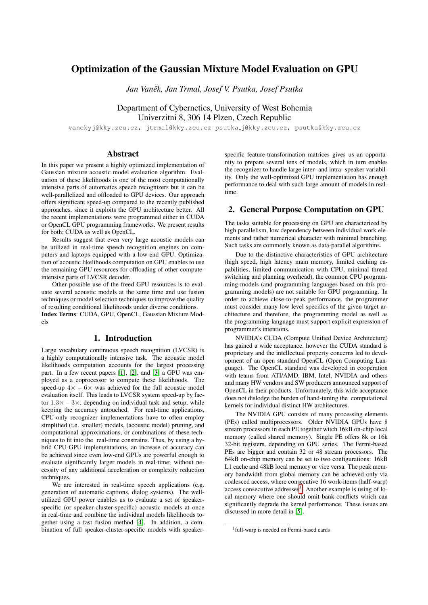# Optimization of the Gaussian Mixture Model Evaluation on GPU

*Jan Vanek, Jan Trmal, Josef V. Psutka, Josef Psutka ˇ*

Department of Cybernetics, University of West Bohemia Univerzitni 8, 306 14 Plzen, Czech Republic

vanekyj@kky.zcu.cz, jtrmal@kky.zcu.cz psutka j@kky.zcu.cz, psutka@kky.zcu.cz

# Abstract

In this paper we present a highly optimized implementation of Gaussian mixture acoustic model evaluation algorithm. Evaluation of these likelihoods is one of the most computationally intensive parts of automatics speech recognizers but it can be well-parallelized and offloaded to GPU devices. Our approach offers significant speed-up compared to the recently published approaches, since it exploits the GPU architecture better. All the recent implementations were programmed either in CUDA or OpenCL GPU programming frameworks. We present results for both; CUDA as well as OpenCL.

Results suggest that even very large acoustic models can be utilized in real-time speech recognition engines on computers and laptops equipped with a low-end GPU. Optimization of acoustic likelihoods computation on GPU enables to use the remaining GPU resources for offloading of other computeintensive parts of LVCSR decoder.

Other possible use of the freed GPU resources is to evaluate several acoustic models at the same time and use fusion techniques or model selection techniques to improve the quality of resulting conditional likelihoods under diverse conditions. Index Terms: CUDA, GPU, OpenCL, Gaussian Mixture Models

### 1. Introduction

Large vocabulary continuous speech recognition (LVCSR) is a highly computationally intensive task. The acoustic model likelihoods computation accounts for the largest processing part. In a few recent papers [\[1\]](#page-3-0), [\[2\]](#page-3-1), and [\[3\]](#page-3-2) a GPU was employed as a coprocessor to compute these likelihoods. The speed-up  $4x - 6x$  was achieved for the full acoustic model evaluation itself. This leads to LVCSR system speed-up by factor  $1.3 \times -3 \times$ , depending on individual task and setup, while keeping the accuracy untouched. For real-time applications, CPU-only recognizer implementations have to often employ simplified (i.e. smaller) models, (acoustic model) pruning, and computational approximations, or combinations of these techniques to fit into the real-time constrains. Thus, by using a hybrid CPU-GPU implementations, an increase of accuracy can be achieved since even low-end GPUs are powerful enough to evaluate significantly larger models in real-time; without necessity of any additional acceleration or complexity reduction techniques.

We are interested in real-time speech applications (e.g. generation of automatic captions, dialog systems). The wellutilized GPU power enables us to evaluate a set of speakerspecific (or speaker-cluster-specific) acoustic models at once in real-time and combine the individual models likelihoods together using a fast fusion method [\[4\]](#page-3-3). In addition, a combination of full speaker-cluster-specific models with speaker-

specific feature-transformation matrices gives us an opportunity to prepare several tens of models, which in turn enables the recognizer to handle large inter- and intra- speaker variability. Only the well-optimized GPU implementation has enough performance to deal with such large amount of models in realtime.

# 2. General Purpose Computation on GPU

The tasks suitable for processing on GPU are characterized by high parallelism, low dependency between individual work elements and rather numerical character with minimal branching. Such tasks are commonly known as data-parallel algorithms.

Due to the distinctive characteristics of GPU architecture (high speed, high latency main memory, limited caching capabilities, limited communication with CPU, minimal thread switching and planning overhead), the common CPU programming models (and programming languages based on this programming models) are not suitable for GPU programming. In order to achieve close-to-peak performance, the programmer must consider many low level specifics of the given target architecture and therefore, the programming model as well as the programming language must support explicit expression of programmer's intentions.

NVIDIA's CUDA (Compute Unified Device Architecture) has gained a wide acceptance, however the CUDA standard is proprietary and the intellectual property concerns led to development of an open standard OpenCL (Open Computing Language). The OpenCL standard was developed in cooperation with teams from ATI/AMD, IBM, Intel, NVIDIA and others and many HW vendors and SW producers announced support of OpenCL in their products. Unfortunately, this wide acceptance does not dislodge the burden of hand-tuning the computational kernels for individual distinct HW architectures.

The NVIDIA GPU consists of many processing elements (PEs) called multiprocessors. Older NVIDIA GPUs have 8 stream processors in each PE together witch 16kB on-chip local memory (called shared memory). Single PE offers 8k or 16k 32-bit registers, depending on GPU series. The Fermi-based PEs are bigger and contain 32 or 48 stream processors. The 64kB on-chip memory can be set to two configurations: 16kB L1 cache and 48kB local memory or vice versa. The peak memory bandwidth from global memory can be achieved only via coalesced access, where consecutive 16 work-items (half-warp) access consecutive addresses<sup>[1](#page-0-0)</sup>. Another example is using of local memory where one should omit bank-conflicts which can significantly degrade the kernel performance. These issues are discussed in more detail in [\[5\]](#page-3-4).

<span id="page-0-0"></span><sup>1</sup> full-warp is needed on Fermi-based cards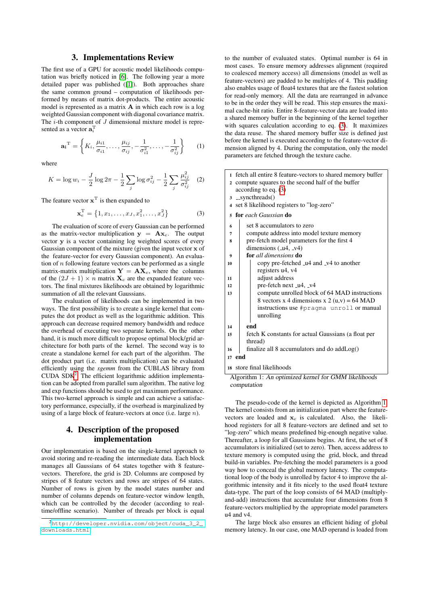### 3. Implementations Review

The first use of a GPU for acoustic model likelihoods computation was briefly noticed in [\[6\]](#page-3-5). The following year a more detailed paper was published ([\[1\]](#page-3-0)). Both approaches share the same common ground – computation of likelihoods performed by means of matrix dot-products. The entire acoustic model is represented as a matrix A in which each row is a log weighted Gaussian component with diagonal covariance matrix. The  $i$ -th component of  $J$  dimensional mixture model is represented as a vector  $\mathbf{a}_i^{\mathrm{T}}$ 

$$
\mathbf{a_i}^{\mathrm{T}} = \left\{ K_i, \frac{\mu_{i1}}{\sigma_{i1}}, \dots, \frac{\mu_{ij}}{\sigma_{ij}}, -\frac{1}{\sigma_{i1}^2}, \dots, -\frac{1}{\sigma_{ij}^2} \right\}
$$
 (1)

where

<span id="page-1-3"></span>
$$
K = \log w_i - \frac{J}{2} \log 2\pi - \frac{1}{2} \sum_j \log \sigma_{ij}^2 - \frac{1}{2} \sum_j \frac{\mu_{ij}^2}{\sigma_{ij}^2} \quad (2)
$$

The feature vector  $\mathbf{x}^T$  is then expanded to

<span id="page-1-1"></span>
$$
\mathbf{x}_e^{\mathrm{T}} = \left\{ 1, x_1, \dots, x_J, x_1^2, \dots, x_J^2 \right\} \tag{3}
$$

The evaluation of score of every Gaussian can be performed as the matrix-vector multiplication  $y = Ax_e$ . The output vector y is a vector containing log weighted scores of every Gaussian component of the mixture (given the input vector  $x$  of the feature-vector for every Gaussian component). An evaluation of  $n$  following feature vectors can be performed as a single matrix-matrix multiplication  $Y = AX_e$ , where the columns of the  $(2J + 1) \times n$  matrix  $\mathbf{X}_e$  are the expanded feature vectors. The final mixtures likelihoods are obtained by logarithmic summation of all the relevant Gaussians.

The evaluation of likelihoods can be implemented in two ways. The first possibility is to create a single kernel that computes the dot product as well as the logarithmic addition. This approach can decrease required memory bandwidth and reduce the overhead of executing two separate kernels. On the other hand, it is much more difficult to propose optimal block/grid architecture for both parts of the kernel. The second way is to create a standalone kernel for each part of the algorithm. The dot product part (i.e. matrix multiplication) can be evaluated efficiently using the *sgemm* from the CUBLAS library from CUDA  $SDK<sup>2</sup>$  $SDK<sup>2</sup>$  $SDK<sup>2</sup>$ . The efficient logarithmic addition implementation can be adopted from parallel sum algorithm. The native log and exp functions should be used to get maximum performance. This two-kernel approach is simple and can achieve a satisfactory performance, especially, if the overhead is marginalized by using of a large block of feature-vectors at once (i.e. large n).

# 4. Description of the proposed implementation

Our implementation is based on the single-kernel approach to avoid storing and re-reading the intermediate data. Each block manages all Gaussians of 64 states together with 8 featurevectors. Therefore, the grid is 2D. Columns are composed by stripes of 8 feature vectors and rows are stripes of 64 states. Number of rows is given by the model states number and number of columns depends on feature-vector window length, which can be controlled by the decoder (according to realtime/offline scenario). Number of threads per block is equal

to the number of evaluated states. Optimal number is 64 in most cases. To ensure memory addresses alignment (required to coalesced memory access) all dimensions (model as well as feature-vectors) are padded to be multiples of 4. This padding also enables usage of float4 textures that are the fastest solution for read-only memory. All the data are rearranged in advance to be in the order they will be read. This step ensures the maximal cache-hit ratio. Entire 8-feature-vector data are loaded into a shared memory buffer in the beginning of the kernel together with squares calculation according to eq. [\(3\)](#page-1-1). It maximizes the data reuse. The shared memory buffer size is defined just before the kernel is executed according to the feature-vector dimension aligned by 4. During the computation, only the model parameters are fetched through the texture cache.

| 1 fetch all entire 8 feature-vectors to shared memory buffer |  |
|--------------------------------------------------------------|--|
| 2 compute squares to the second half of the buffer           |  |

- according to eq. [\(3\)](#page-1-1)
- $3$  \_syncthreads()
- <sup>4</sup> set 8 likelihood registers to "log-zero"
- 

|                  | 5 for each Gaussian do                              |
|------------------|-----------------------------------------------------|
| 6                | set 8 accumulators to zero                          |
| 7                | compute address into model texture memory           |
| 8                | pre-fetch model parameters for the first 4          |
|                  | dimensions $(14, 104)$                              |
| $\boldsymbol{9}$ | for all dimensions do                               |
| 10               | copy pre-fetched _u4 and _v4 to another             |
|                  | registers u4, v4                                    |
| 11               | adjust address                                      |
| 12               | pre-fetch next _u4, _v4                             |
| 13               | compute unrolled block of 64 MAD instructions       |
|                  | 8 vectors x 4 dimensions x 2 (u,v) = 64 MAD         |
|                  | instructions use #pragma unroll or manual           |
|                  | unrolling                                           |
| 14               | end                                                 |
| 15               | fetch K constants for actual Gaussians (a float per |
|                  | thread)                                             |

<sup>16</sup> finalize all 8 accumulators and do addLog()

<sup>17</sup> end

<sup>18</sup> store final likelihoods

<span id="page-1-2"></span>Algorithm 1: An optimized kernel for GMM likelihoods computation

The pseudo-code of the kernel is depicted as Algorithm [1.](#page-1-2) The kernel consists from an initialization part where the featurevectors are loaded and  $x_e$  is calculated. Also, the likelihood registers for all 8 feature-vectors are defined and set to "log-zero" which means predefined big-enough negative value. Thereafter, a loop for all Gaussians begins. At first, the set of 8 accumulators is initialized (set to zero). Then, access address to texture memory is computed using the grid, block, and thread build-in variables. Pre-fetching the model parameters is a good way how to conceal the global memory latency. The computational loop of the body is unrolled by factor 4 to improve the algorithmic intensity and it fits nicely to the used float4 texture data-type. The part of the loop consists of 64 MAD (multiplyand-add) instructions that accumulate four dimensions from 8 feature-vectors multiplied by the appropriate model parameters u4 and v4.

The large block also ensures an efficient hiding of global memory latency. In our case, one MAD operand is loaded from

<span id="page-1-0"></span><sup>2</sup>[http://developer.nvidia.com/object/cuda\\_3\\_2\\_](http://developer.nvidia.com/object/cuda_3_2_downloads.html) [downloads.html](http://developer.nvidia.com/object/cuda_3_2_downloads.html)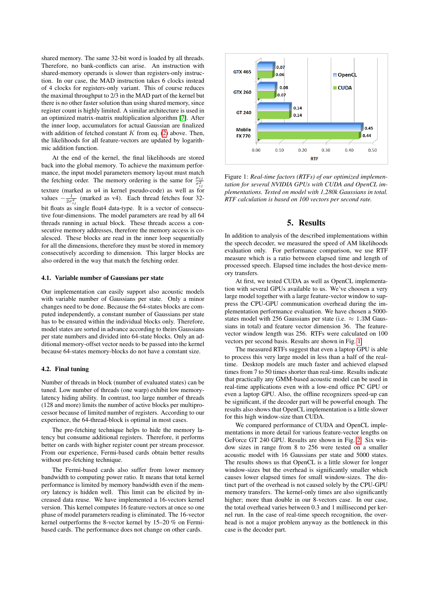shared memory. The same 32-bit word is loaded by all threads. Therefore, no bank-conflicts can arise. An instruction with shared-memory operands is slower than registers-only instruction. In our case, the MAD instruction takes 6 clocks instead of 4 clocks for registers-only variant. This of course reduces the maximal throughput to 2/3 in the MAD part of the kernel but there is no other faster solution than using shared memory, since register count is highly limited. A similar architecture is used in an optimized matrix-matrix multiplication algorithm [\[7\]](#page-3-6). After the inner loop, accumulators for actual Gaussian are finalized with addition of fetched constant  $K$  from eq. [\(2\)](#page-1-3) above. Then, the likelihoods for all feature-vectors are updated by logarithmic addition function.

At the end of the kernel, the final likelihoods are stored back into the global memory. To achieve the maximum performance, the input model parameters memory layout must match the fetching order. The memory ordering is the same for  $\frac{\mu_{ij}}{\sigma_{ij}^2}$ texture (marked as u4 in kernel pseudo-code) as well as for values  $\frac{1}{2\sigma_{ij}^2}$  (marked as v4). Each thread fetches four 32bit floats as single float4 data-type. It is a vector of consecutive four-dimensions. The model parameters are read by all 64 threads running in actual block. These threads access a consecutive memory addresses, therefore the memory access is coalesced. These blocks are read in the inner loop sequentially for all the dimensions, therefore they must be stored in memory consecutively according to dimension. This larger blocks are also ordered in the way that match the fetching order.

### 4.1. Variable number of Gaussians per state

Our implementation can easily support also acoustic models with variable number of Gaussians per state. Only a minor changes need to be done. Because the 64-states blocks are computed independently, a constant number of Gaussians per state has to be ensured within the individual blocks only. Therefore, model states are sorted in advance according to theirs Gaussians per state numbers and divided into 64-state blocks. Only an additional memory-offset vector needs to be passed into the kernel because 64-states memory-blocks do not have a constant size.

#### 4.2. Final tuning

Number of threads in block (number of evaluated states) can be tuned. Low number of threads (one warp) exhibit low memorylatency hiding ability. In contrast, too large number of threads (128 and more) limits the number of active blocks per multiprocessor because of limited number of registers. According to our experience, the 64-thread-block is optimal in most cases.

The pre-fetching technique helps to hide the memory latency but consume additional registers. Therefore, it performs better on cards with higher register count per stream processor. From our experience, Fermi-based cards obtain better results without pre-fetching technique.

The Fermi-based cards also suffer from lower memory bandwidth to computing power ratio. It means that total kernel performance is limited by memory bandwidth even if the memory latency is hidden well. This limit can be elicited by increased data reuse. We have implemented a 16-vectors kernel version. This kernel computes 16 feature-vectors at once so one phase of model parameters reading is eliminated. The 16-vector kernel outperforms the 8-vector kernel by 15–20 % on Fermibased cards. The performance does not change on other cards.



<span id="page-2-0"></span>Figure 1: *Real-time factors (RTFs) of our optimized implementation for several NVIDIA GPUs with CUDA and OpenCL implementations. Tested on model with 1,280k Gaussians in total. RTF calculation is based on 100 vectors per second rate.*

## 5. Results

In addition to analysis of the described implementations within the speech decoder, we measured the speed of AM likelihoods evaluation only. For performance comparison, we use RTF measure which is a ratio between elapsed time and length of processed speech. Elapsed time includes the host-device memory transfers.

At first, we tested CUDA as well as OpenCL implementation with several GPUs available to us. We've choosen a very large model together with a large feature-vector window to suppress the CPU-GPU communication overhead during the implementation performance evaluation. We have chosen a 5000 states model with 256 Gaussians per state (i.e.  $\approx 1.3M$  Gaussians in total) and feature vector dimension 36. The featurevector window length was 256. RTFs were calculated on 100 vectors per second basis. Results are shown in Fig. [1.](#page-2-0)

The measured RTFs suggest that even a laptop GPU is able to process this very large model in less than a half of the realtime. Desktop models are much faster and achieved elapsed times from 7 to 50 times shorter than real-time. Results indicate that practically any GMM-based acoustic model can be used in real-time applications even with a low-end office PC GPU or even a laptop GPU. Also, the offline recognizers speed-up can be significant, if the decoder part will be powerful enough. The results also shows that OpenCL implementation is a little slower for this high window-size than CUDA.

We compared performance of CUDA and OpenCL implementations in more detail for various feature-vector lengths on GeForce GT 240 GPU. Results are shown in Fig. [2.](#page-3-7) Six window sizes in range from 8 to 256 were tested on a smaller acoustic model with 16 Gaussians per state and 5000 states. The results shows us that OpenCL is a little slower for longer window-sizes but the overhead is significantly smaller which causes lower elapsed times for small window-sizes. The distinct part of the overhead is not caused solely by the CPU-GPU memory transfers. The kernel-only times are also significantly higher; more than double in our 8-vectors case. In our case, the total overhead varies between 0.3 and 1 millisecond per kernel run. In the case of real-time speech recognition, the overhead is not a major problem anyway as the bottleneck in this case is the decoder part.